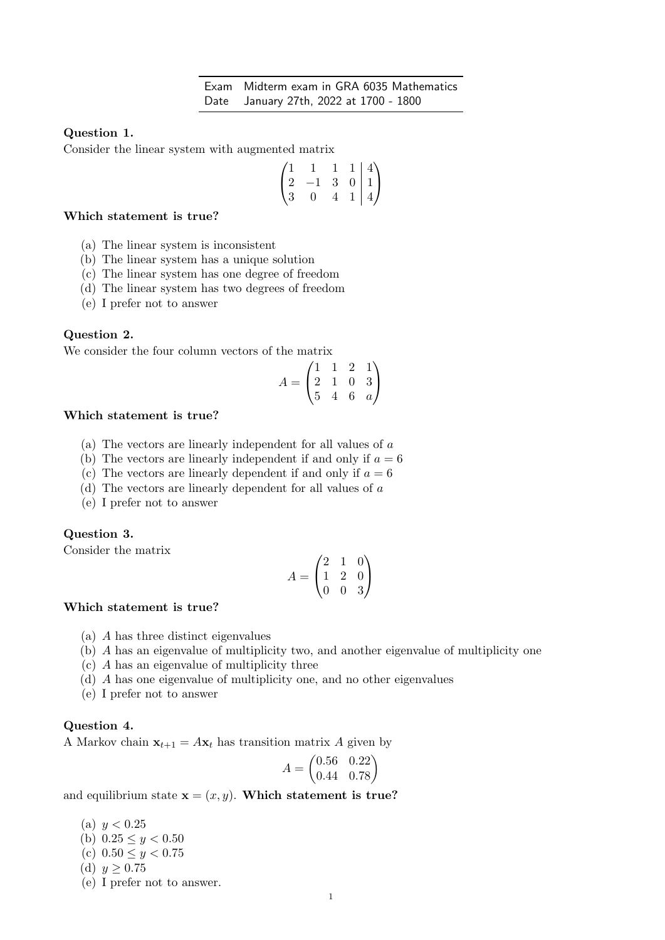### Question 1.

Consider the linear system with augmented matrix

$$
\begin{pmatrix} 1 & 1 & 1 & 1 & | & 4 \\ 2 & -1 & 3 & 0 & | & 1 \\ 3 & 0 & 4 & 1 & | & 4 \end{pmatrix}
$$

#### Which statement is true?

- (a) The linear system is inconsistent
- (b) The linear system has a unique solution
- (c) The linear system has one degree of freedom
- (d) The linear system has two degrees of freedom
- (e) I prefer not to answer

#### Question 2.

We consider the four column vectors of the matrix

$$
A = \begin{pmatrix} 1 & 1 & 2 & 1 \\ 2 & 1 & 0 & 3 \\ 5 & 4 & 6 & a \end{pmatrix}
$$

#### Which statement is true?

- (a) The vectors are linearly independent for all values of a
- (b) The vectors are linearly independent if and only if  $a = 6$
- (c) The vectors are linearly dependent if and only if  $a = 6$
- (d) The vectors are linearly dependent for all values of a
- (e) I prefer not to answer

# Question 3.

Consider the matrix

$$
A = \begin{pmatrix} 2 & 1 & 0 \\ 1 & 2 & 0 \\ 0 & 0 & 3 \end{pmatrix}
$$

#### Which statement is true?

- (a) A has three distinct eigenvalues
- (b) A has an eigenvalue of multiplicity two, and another eigenvalue of multiplicity one
- (c) A has an eigenvalue of multiplicity three
- (d) A has one eigenvalue of multiplicity one, and no other eigenvalues
- (e) I prefer not to answer

#### Question 4.

A Markov chain  $x_{t+1} = A x_t$  has transition matrix A given by

$$
A = \begin{pmatrix} 0.56 & 0.22 \\ 0.44 & 0.78 \end{pmatrix}
$$

and equilibrium state  $\mathbf{x} = (x, y)$ . Which statement is true?

(a)  $y < 0.25$ (b)  $0.25 \leq y < 0.50$ (c)  $0.50 \leq y < 0.75$ (d)  $y \ge 0.75$ (e) I prefer not to answer.